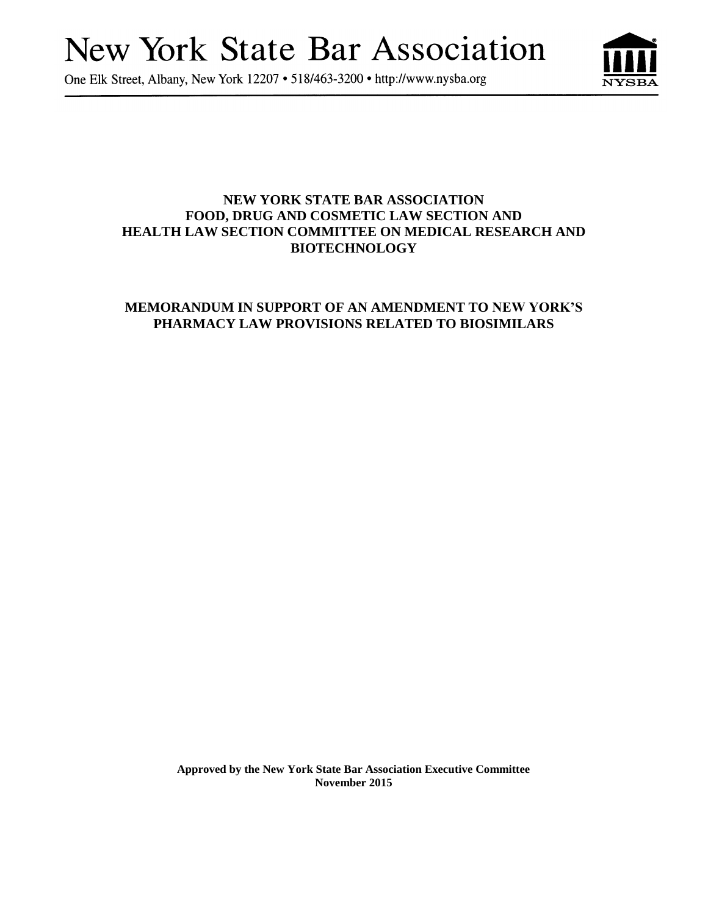# **New York State Bar Association**

One Elk Street, Albany, New York 12207 • 518/463-3200 • http://www.nysba.org



# **NEW YORK STATE BAR ASSOCIATION FOOD, DRUG AND COSMETIC LAW SECTION AND HEALTH LAW SECTION COMMITTEE ON MEDICAL RESEARCH AND BIOTECHNOLOGY**

# **MEMORANDUM IN SUPPORT OF AN AMENDMENT TO NEW YORK'S PHARMACY LAW PROVISIONS RELATED TO BIOSIMILARS**

**Approved by the New York State Bar Association Executive Committee November 2015**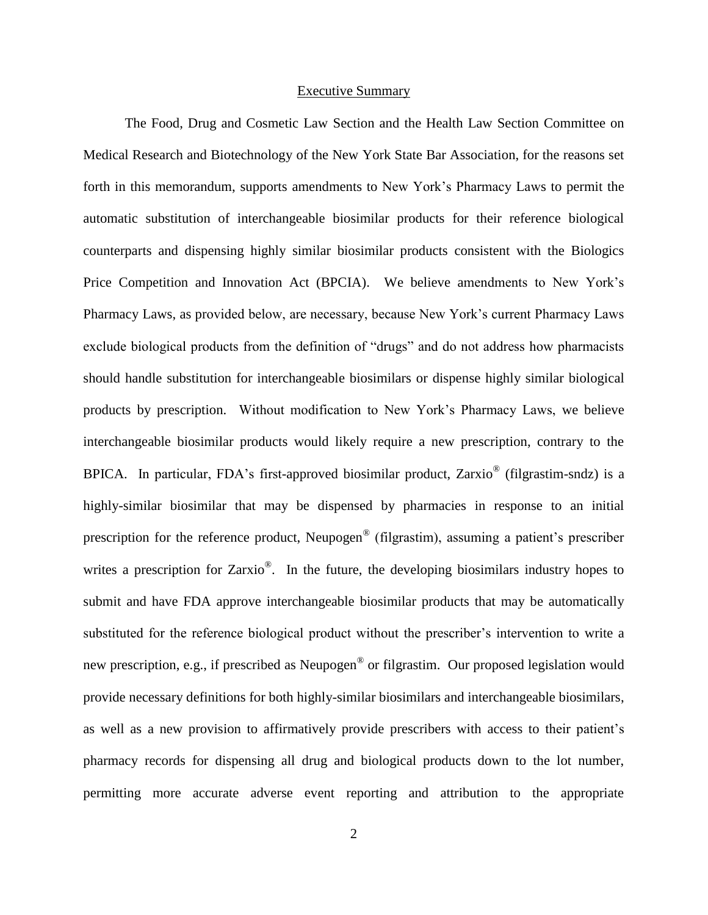#### Executive Summary

The Food, Drug and Cosmetic Law Section and the Health Law Section Committee on Medical Research and Biotechnology of the New York State Bar Association, for the reasons set forth in this memorandum, supports amendments to New York's Pharmacy Laws to permit the automatic substitution of interchangeable biosimilar products for their reference biological counterparts and dispensing highly similar biosimilar products consistent with the Biologics Price Competition and Innovation Act (BPCIA). We believe amendments to New York's Pharmacy Laws, as provided below, are necessary, because New York's current Pharmacy Laws exclude biological products from the definition of "drugs" and do not address how pharmacists should handle substitution for interchangeable biosimilars or dispense highly similar biological products by prescription. Without modification to New York's Pharmacy Laws, we believe interchangeable biosimilar products would likely require a new prescription, contrary to the BPICA. In particular, FDA's first-approved biosimilar product, Zarxio<sup>®</sup> (filgrastim-sndz) is a highly-similar biosimilar that may be dispensed by pharmacies in response to an initial prescription for the reference product, Neupogen® (filgrastim), assuming a patient's prescriber writes a prescription for Zarxio<sup>®</sup>. In the future, the developing biosimilars industry hopes to submit and have FDA approve interchangeable biosimilar products that may be automatically substituted for the reference biological product without the prescriber's intervention to write a new prescription, e.g., if prescribed as Neupogen<sup>®</sup> or filgrastim. Our proposed legislation would provide necessary definitions for both highly-similar biosimilars and interchangeable biosimilars, as well as a new provision to affirmatively provide prescribers with access to their patient's pharmacy records for dispensing all drug and biological products down to the lot number, permitting more accurate adverse event reporting and attribution to the appropriate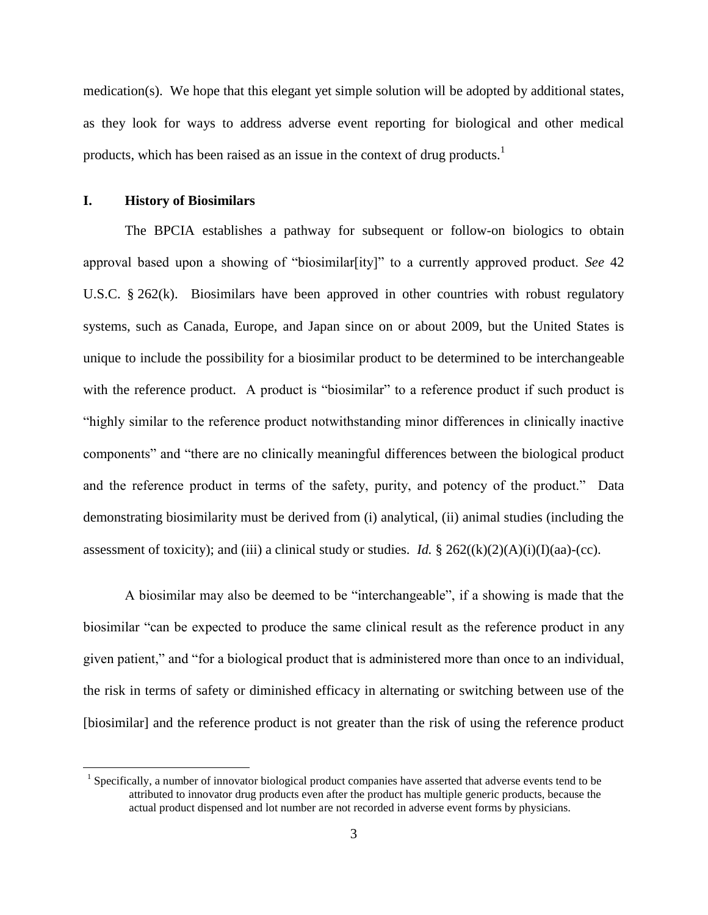medication(s). We hope that this elegant yet simple solution will be adopted by additional states, as they look for ways to address adverse event reporting for biological and other medical products, which has been raised as an issue in the context of drug products.<sup>1</sup>

#### **I. History of Biosimilars**

 $\overline{a}$ 

The BPCIA establishes a pathway for subsequent or follow-on biologics to obtain approval based upon a showing of "biosimilar[ity]" to a currently approved product. *See* 42 U.S.C. § 262(k). Biosimilars have been approved in other countries with robust regulatory systems, such as Canada, Europe, and Japan since on or about 2009, but the United States is unique to include the possibility for a biosimilar product to be determined to be interchangeable with the reference product. A product is "biosimilar" to a reference product if such product is "highly similar to the reference product notwithstanding minor differences in clinically inactive components" and "there are no clinically meaningful differences between the biological product and the reference product in terms of the safety, purity, and potency of the product." Data demonstrating biosimilarity must be derived from (i) analytical, (ii) animal studies (including the assessment of toxicity); and (iii) a clinical study or studies. *Id.*  $\S 262((k)(2)(A)(i)(I)(aa)-(cc)$ .

A biosimilar may also be deemed to be "interchangeable", if a showing is made that the biosimilar "can be expected to produce the same clinical result as the reference product in any given patient," and "for a biological product that is administered more than once to an individual, the risk in terms of safety or diminished efficacy in alternating or switching between use of the [biosimilar] and the reference product is not greater than the risk of using the reference product

<sup>&</sup>lt;sup>1</sup> Specifically, a number of innovator biological product companies have asserted that adverse events tend to be attributed to innovator drug products even after the product has multiple generic products, because the actual product dispensed and lot number are not recorded in adverse event forms by physicians.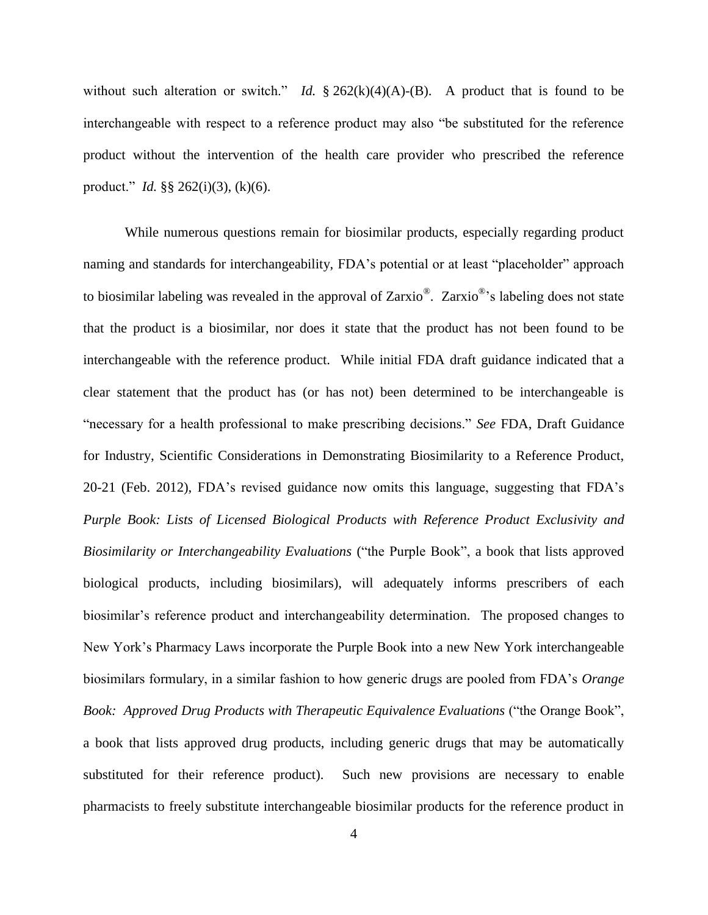without such alteration or switch." *Id.*  $\S 262(k)(4)(A) - (B)$ . A product that is found to be interchangeable with respect to a reference product may also "be substituted for the reference product without the intervention of the health care provider who prescribed the reference product." *Id.* §§ 262(i)(3), (k)(6).

While numerous questions remain for biosimilar products, especially regarding product naming and standards for interchangeability, FDA's potential or at least "placeholder" approach to biosimilar labeling was revealed in the approval of Zarxio<sup>®</sup>. Zarxio<sup>®</sup>'s labeling does not state that the product is a biosimilar, nor does it state that the product has not been found to be interchangeable with the reference product. While initial FDA draft guidance indicated that a clear statement that the product has (or has not) been determined to be interchangeable is "necessary for a health professional to make prescribing decisions." *See* FDA, Draft Guidance for Industry, Scientific Considerations in Demonstrating Biosimilarity to a Reference Product, 20-21 (Feb. 2012), FDA's revised guidance now omits this language, suggesting that FDA's *Purple Book: Lists of Licensed Biological Products with Reference Product Exclusivity and Biosimilarity or Interchangeability Evaluations* ("the Purple Book", a book that lists approved biological products, including biosimilars), will adequately informs prescribers of each biosimilar's reference product and interchangeability determination. The proposed changes to New York's Pharmacy Laws incorporate the Purple Book into a new New York interchangeable biosimilars formulary, in a similar fashion to how generic drugs are pooled from FDA's *Orange Book: Approved Drug Products with Therapeutic Equivalence Evaluations* ("the Orange Book", a book that lists approved drug products, including generic drugs that may be automatically substituted for their reference product). Such new provisions are necessary to enable pharmacists to freely substitute interchangeable biosimilar products for the reference product in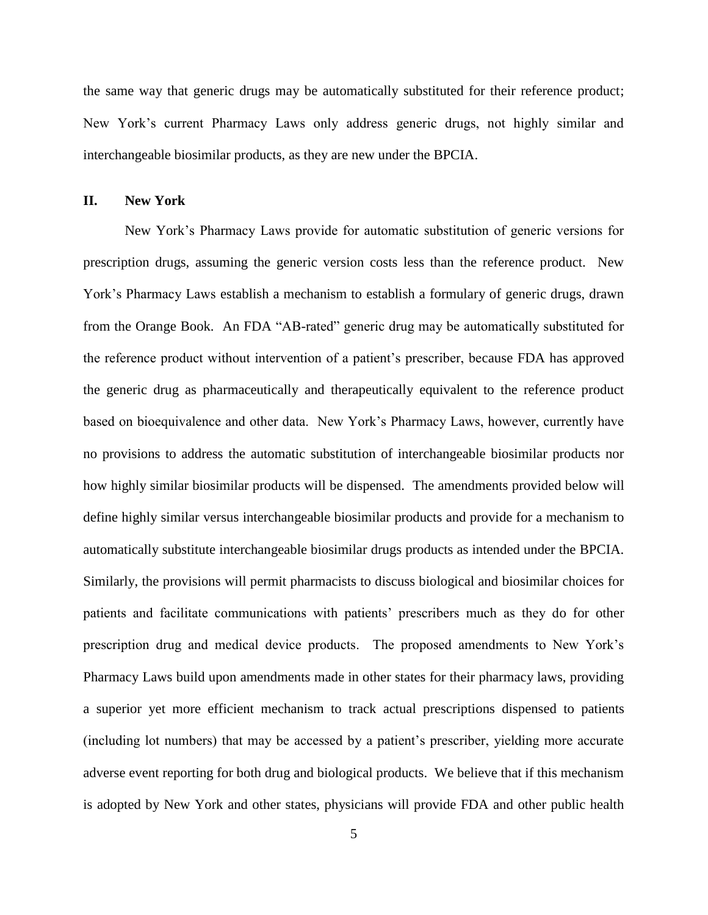the same way that generic drugs may be automatically substituted for their reference product; New York's current Pharmacy Laws only address generic drugs, not highly similar and interchangeable biosimilar products, as they are new under the BPCIA.

## **II. New York**

New York's Pharmacy Laws provide for automatic substitution of generic versions for prescription drugs, assuming the generic version costs less than the reference product. New York's Pharmacy Laws establish a mechanism to establish a formulary of generic drugs, drawn from the Orange Book. An FDA "AB-rated" generic drug may be automatically substituted for the reference product without intervention of a patient's prescriber, because FDA has approved the generic drug as pharmaceutically and therapeutically equivalent to the reference product based on bioequivalence and other data. New York's Pharmacy Laws, however, currently have no provisions to address the automatic substitution of interchangeable biosimilar products nor how highly similar biosimilar products will be dispensed. The amendments provided below will define highly similar versus interchangeable biosimilar products and provide for a mechanism to automatically substitute interchangeable biosimilar drugs products as intended under the BPCIA. Similarly, the provisions will permit pharmacists to discuss biological and biosimilar choices for patients and facilitate communications with patients' prescribers much as they do for other prescription drug and medical device products. The proposed amendments to New York's Pharmacy Laws build upon amendments made in other states for their pharmacy laws, providing a superior yet more efficient mechanism to track actual prescriptions dispensed to patients (including lot numbers) that may be accessed by a patient's prescriber, yielding more accurate adverse event reporting for both drug and biological products. We believe that if this mechanism is adopted by New York and other states, physicians will provide FDA and other public health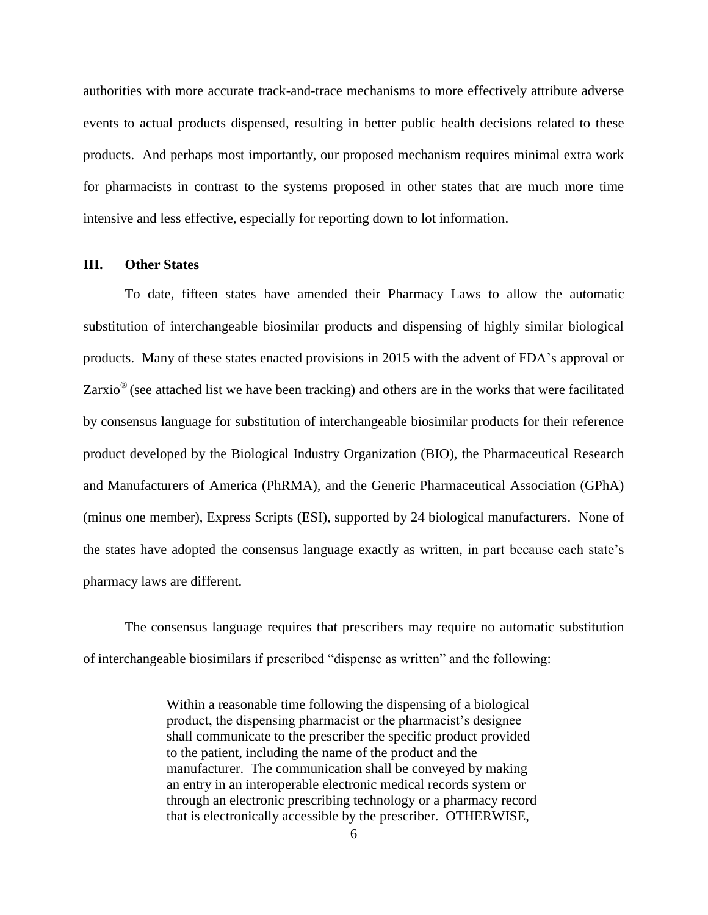authorities with more accurate track-and-trace mechanisms to more effectively attribute adverse events to actual products dispensed, resulting in better public health decisions related to these products. And perhaps most importantly, our proposed mechanism requires minimal extra work for pharmacists in contrast to the systems proposed in other states that are much more time intensive and less effective, especially for reporting down to lot information.

#### **III. Other States**

To date, fifteen states have amended their Pharmacy Laws to allow the automatic substitution of interchangeable biosimilar products and dispensing of highly similar biological products. Many of these states enacted provisions in 2015 with the advent of FDA's approval or Zarxio<sup>®</sup> (see attached list we have been tracking) and others are in the works that were facilitated by consensus language for substitution of interchangeable biosimilar products for their reference product developed by the Biological Industry Organization (BIO), the Pharmaceutical Research and Manufacturers of America (PhRMA), and the Generic Pharmaceutical Association (GPhA) (minus one member), Express Scripts (ESI), supported by 24 biological manufacturers. None of the states have adopted the consensus language exactly as written, in part because each state's pharmacy laws are different.

The consensus language requires that prescribers may require no automatic substitution of interchangeable biosimilars if prescribed "dispense as written" and the following:

> Within a reasonable time following the dispensing of a biological product, the dispensing pharmacist or the pharmacist's designee shall communicate to the prescriber the specific product provided to the patient, including the name of the product and the manufacturer. The communication shall be conveyed by making an entry in an interoperable electronic medical records system or through an electronic prescribing technology or a pharmacy record that is electronically accessible by the prescriber. OTHERWISE,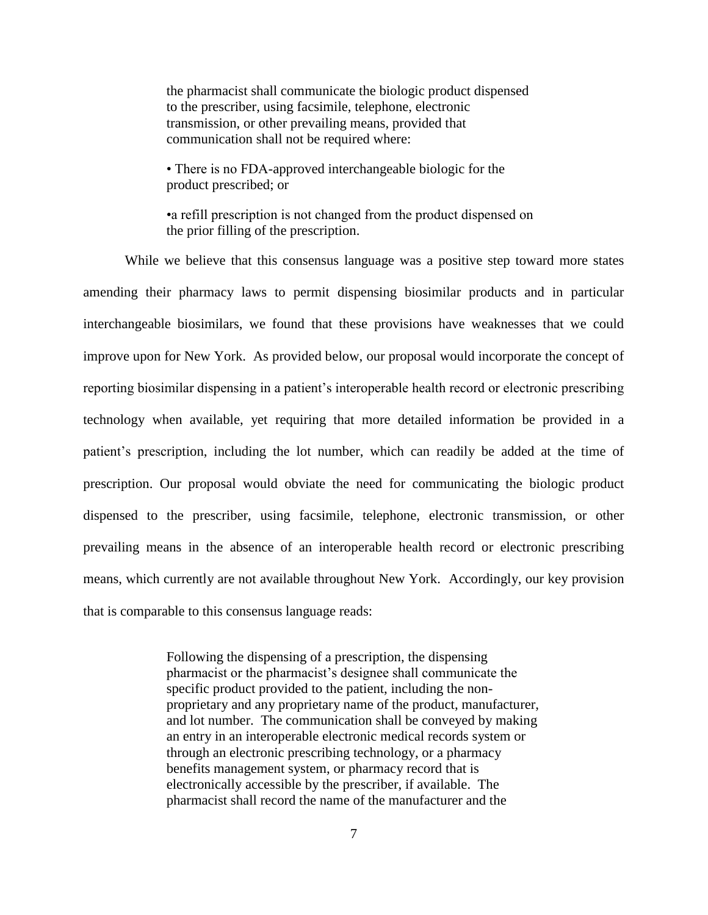the pharmacist shall communicate the biologic product dispensed to the prescriber, using facsimile, telephone, electronic transmission, or other prevailing means, provided that communication shall not be required where:

• There is no FDA-approved interchangeable biologic for the product prescribed; or

•a refill prescription is not changed from the product dispensed on the prior filling of the prescription.

While we believe that this consensus language was a positive step toward more states amending their pharmacy laws to permit dispensing biosimilar products and in particular interchangeable biosimilars, we found that these provisions have weaknesses that we could improve upon for New York. As provided below, our proposal would incorporate the concept of reporting biosimilar dispensing in a patient's interoperable health record or electronic prescribing technology when available, yet requiring that more detailed information be provided in a patient's prescription, including the lot number, which can readily be added at the time of prescription. Our proposal would obviate the need for communicating the biologic product dispensed to the prescriber, using facsimile, telephone, electronic transmission, or other prevailing means in the absence of an interoperable health record or electronic prescribing means, which currently are not available throughout New York. Accordingly, our key provision that is comparable to this consensus language reads:

> Following the dispensing of a prescription, the dispensing pharmacist or the pharmacist's designee shall communicate the specific product provided to the patient, including the nonproprietary and any proprietary name of the product, manufacturer, and lot number. The communication shall be conveyed by making an entry in an interoperable electronic medical records system or through an electronic prescribing technology, or a pharmacy benefits management system, or pharmacy record that is electronically accessible by the prescriber, if available. The pharmacist shall record the name of the manufacturer and the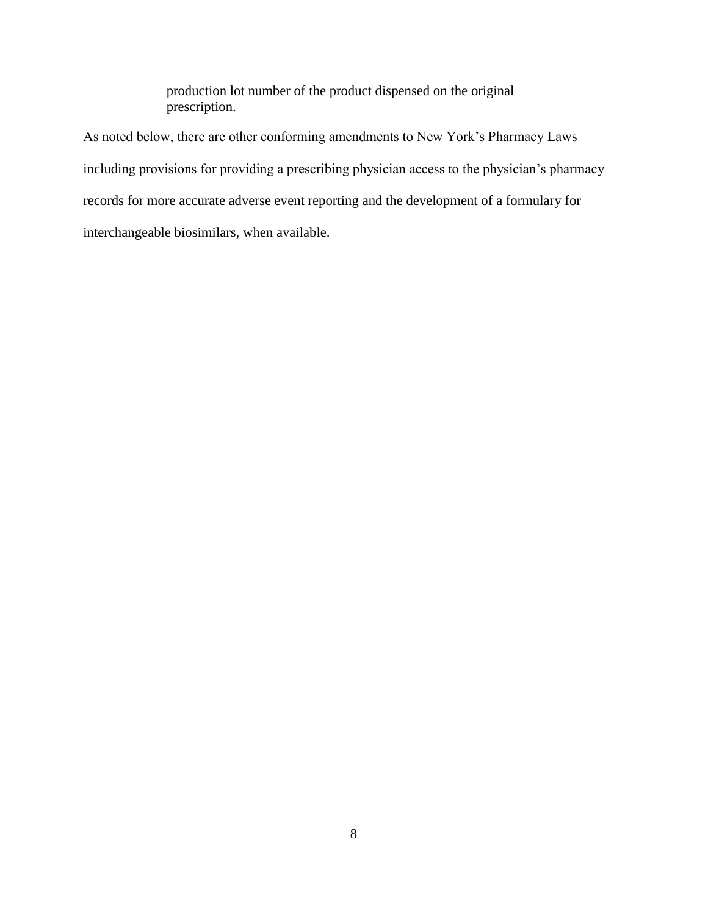production lot number of the product dispensed on the original prescription.

As noted below, there are other conforming amendments to New York's Pharmacy Laws including provisions for providing a prescribing physician access to the physician's pharmacy records for more accurate adverse event reporting and the development of a formulary for interchangeable biosimilars, when available.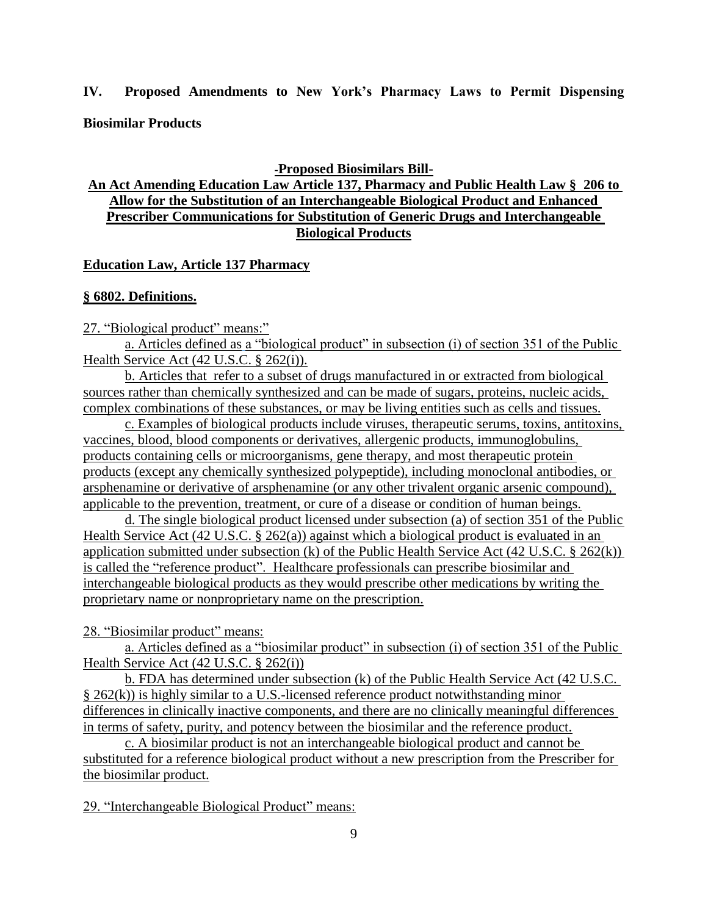## **IV. Proposed Amendments to New York's Pharmacy Laws to Permit Dispensing**

**Biosimilar Products**

**-Proposed Biosimilars Bill-**

## **An Act Amending Education Law Article 137, Pharmacy and Public Health Law § 206 to Allow for the Substitution of an Interchangeable Biological Product and Enhanced Prescriber Communications for Substitution of Generic Drugs and Interchangeable Biological Products**

## **Education Law, Article 137 Pharmacy**

## **§ 6802. Definitions.**

27. "Biological product" means:"

a. Articles defined as a "biological product" in subsection (i) of section 351 of the Public Health Service Act (42 U.S.C. § 262(i)).

b. Articles that refer to a subset of drugs manufactured in or extracted from biological sources rather than chemically synthesized and can be made of sugars, proteins, nucleic acids, complex combinations of these substances, or may be living entities such as cells and tissues.

c. Examples of biological products include viruses, therapeutic serums, toxins, antitoxins, vaccines, blood, blood components or derivatives, allergenic products, immunoglobulins, products containing cells or microorganisms, gene therapy, and most therapeutic protein products (except any chemically synthesized polypeptide), including monoclonal antibodies, or arsphenamine or derivative of arsphenamine (or any other trivalent organic arsenic compound), applicable to the prevention, treatment, or cure of a disease or condition of human beings.

d. The single biological product licensed under subsection (a) of section 351 of the Public Health Service Act (42 U.S.C. § 262(a)) against which a biological product is evaluated in an application submitted under subsection (k) of the Public Health Service Act (42 U.S.C. § 262(k)) is called the "reference product". Healthcare professionals can prescribe biosimilar and interchangeable biological products as they would prescribe other medications by writing the proprietary name or nonproprietary name on the prescription.

28. "Biosimilar product" means:

a. Articles defined as a "biosimilar product" in subsection (i) of section 351 of the Public Health Service Act (42 U.S.C. § 262(i))

b. FDA has determined under subsection (k) of the Public Health Service Act (42 U.S.C. § 262(k)) is highly similar to a U.S.-licensed reference product notwithstanding minor differences in clinically inactive components, and there are no clinically meaningful differences in terms of safety, purity, and potency between the biosimilar and the reference product.

c. A biosimilar product is not an interchangeable biological product and cannot be substituted for a reference biological product without a new prescription from the Prescriber for the biosimilar product.

29. "Interchangeable Biological Product" means: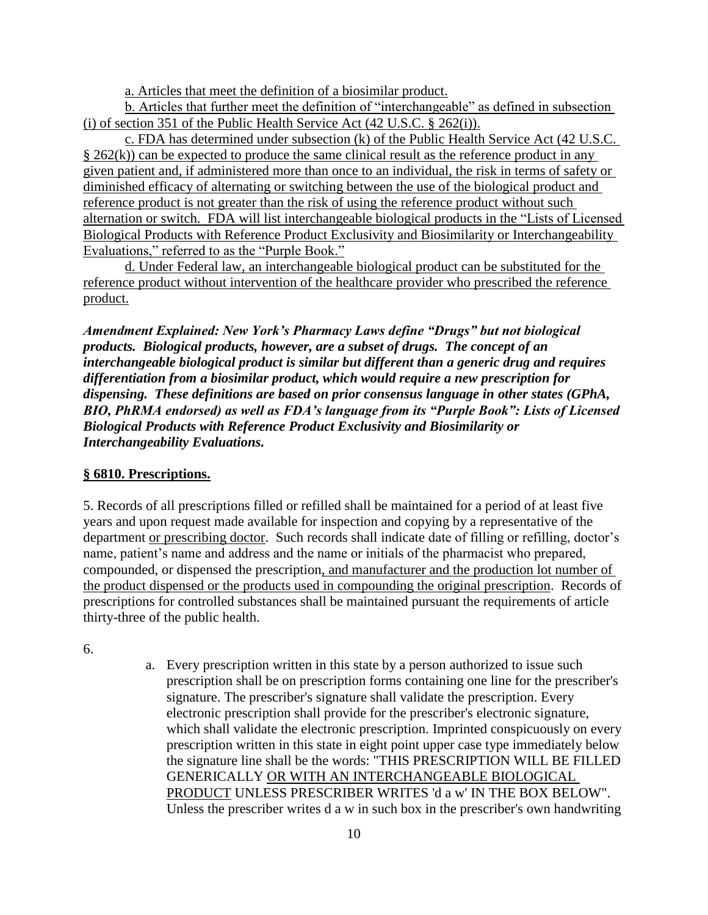a. Articles that meet the definition of a biosimilar product.

b. Articles that further meet the definition of "interchangeable" as defined in subsection (i) of section 351 of the Public Health Service Act  $(42 \text{ U.S.C.} \$ 262(i))$ .

c. FDA has determined under subsection (k) of the Public Health Service Act (42 U.S.C.  $\S$  262(k)) can be expected to produce the same clinical result as the reference product in any given patient and, if administered more than once to an individual, the risk in terms of safety or diminished efficacy of alternating or switching between the use of the biological product and reference product is not greater than the risk of using the reference product without such alternation or switch. FDA will list interchangeable biological products in the "Lists of Licensed Biological Products with Reference Product Exclusivity and Biosimilarity or Interchangeability Evaluations," referred to as the "Purple Book."

d. Under Federal law, an interchangeable biological product can be substituted for the reference product without intervention of the healthcare provider who prescribed the reference product.

*Amendment Explained: New York's Pharmacy Laws define "Drugs" but not biological products. Biological products, however, are a subset of drugs. The concept of an interchangeable biological product is similar but different than a generic drug and requires differentiation from a biosimilar product, which would require a new prescription for dispensing. These definitions are based on prior consensus language in other states (GPhA, BIO, PhRMA endorsed) as well as FDA's language from its "Purple Book": Lists of Licensed Biological Products with Reference Product Exclusivity and Biosimilarity or Interchangeability Evaluations.*

## **§ 6810. Prescriptions.**

5. Records of all prescriptions filled or refilled shall be maintained for a period of at least five years and upon request made available for inspection and copying by a representative of the department or prescribing doctor. Such records shall indicate date of filling or refilling, doctor's name, patient's name and address and the name or initials of the pharmacist who prepared, compounded, or dispensed the prescription, and manufacturer and the production lot number of the product dispensed or the products used in compounding the original prescription. Records of prescriptions for controlled substances shall be maintained pursuant the requirements of article thirty-three of the public health.

6.

a. Every prescription written in this state by a person authorized to issue such prescription shall be on prescription forms containing one line for the prescriber's signature. The prescriber's signature shall validate the prescription. Every electronic prescription shall provide for the prescriber's electronic signature, which shall validate the electronic prescription. Imprinted conspicuously on every prescription written in this state in eight point upper case type immediately below the signature line shall be the words: "THIS PRESCRIPTION WILL BE FILLED GENERICALLY OR WITH AN INTERCHANGEABLE BIOLOGICAL PRODUCT UNLESS PRESCRIBER WRITES 'd a w' IN THE BOX BELOW". Unless the prescriber writes d a w in such box in the prescriber's own handwriting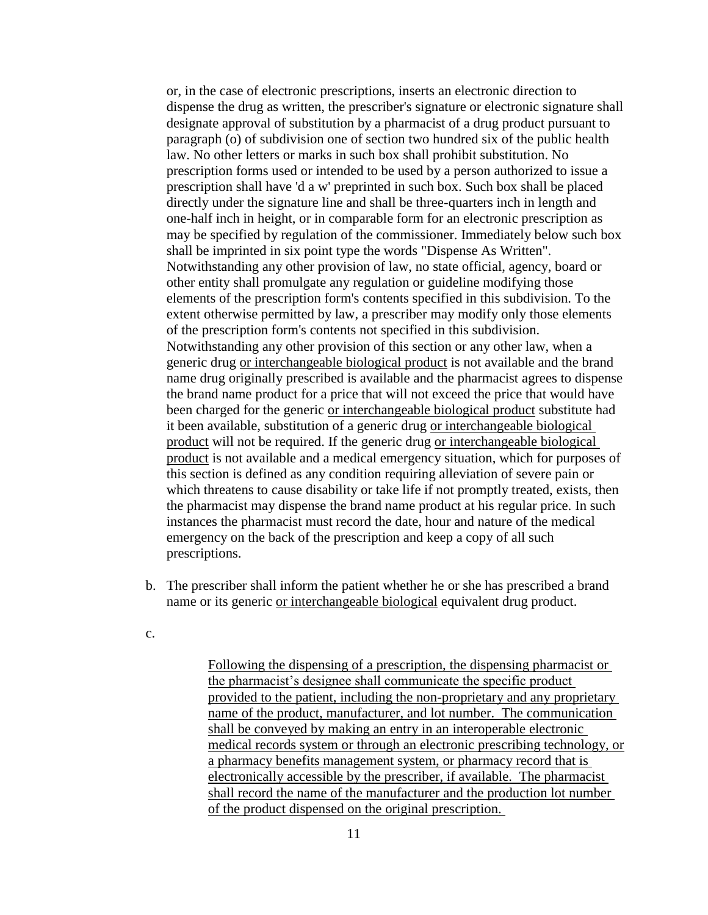or, in the case of electronic prescriptions, inserts an electronic direction to dispense the drug as written, the prescriber's signature or electronic signature shall designate approval of substitution by a pharmacist of a drug product pursuant to paragraph (o) of subdivision one of section two hundred six of the public health law. No other letters or marks in such box shall prohibit substitution. No prescription forms used or intended to be used by a person authorized to issue a prescription shall have 'd a w' preprinted in such box. Such box shall be placed directly under the signature line and shall be three-quarters inch in length and one-half inch in height, or in comparable form for an electronic prescription as may be specified by regulation of the commissioner. Immediately below such box shall be imprinted in six point type the words "Dispense As Written". Notwithstanding any other provision of law, no state official, agency, board or other entity shall promulgate any regulation or guideline modifying those elements of the prescription form's contents specified in this subdivision. To the extent otherwise permitted by law, a prescriber may modify only those elements of the prescription form's contents not specified in this subdivision. Notwithstanding any other provision of this section or any other law, when a generic drug or interchangeable biological product is not available and the brand name drug originally prescribed is available and the pharmacist agrees to dispense the brand name product for a price that will not exceed the price that would have been charged for the generic or interchangeable biological product substitute had it been available, substitution of a generic drug or interchangeable biological product will not be required. If the generic drug or interchangeable biological product is not available and a medical emergency situation, which for purposes of this section is defined as any condition requiring alleviation of severe pain or which threatens to cause disability or take life if not promptly treated, exists, then the pharmacist may dispense the brand name product at his regular price. In such instances the pharmacist must record the date, hour and nature of the medical emergency on the back of the prescription and keep a copy of all such prescriptions.

- b. The prescriber shall inform the patient whether he or she has prescribed a brand name or its generic or interchangeable biological equivalent drug product.
- c.

Following the dispensing of a prescription, the dispensing pharmacist or the pharmacist's designee shall communicate the specific product provided to the patient, including the non-proprietary and any proprietary name of the product, manufacturer, and lot number. The communication shall be conveyed by making an entry in an interoperable electronic medical records system or through an electronic prescribing technology, or a pharmacy benefits management system, or pharmacy record that is electronically accessible by the prescriber, if available. The pharmacist shall record the name of the manufacturer and the production lot number of the product dispensed on the original prescription.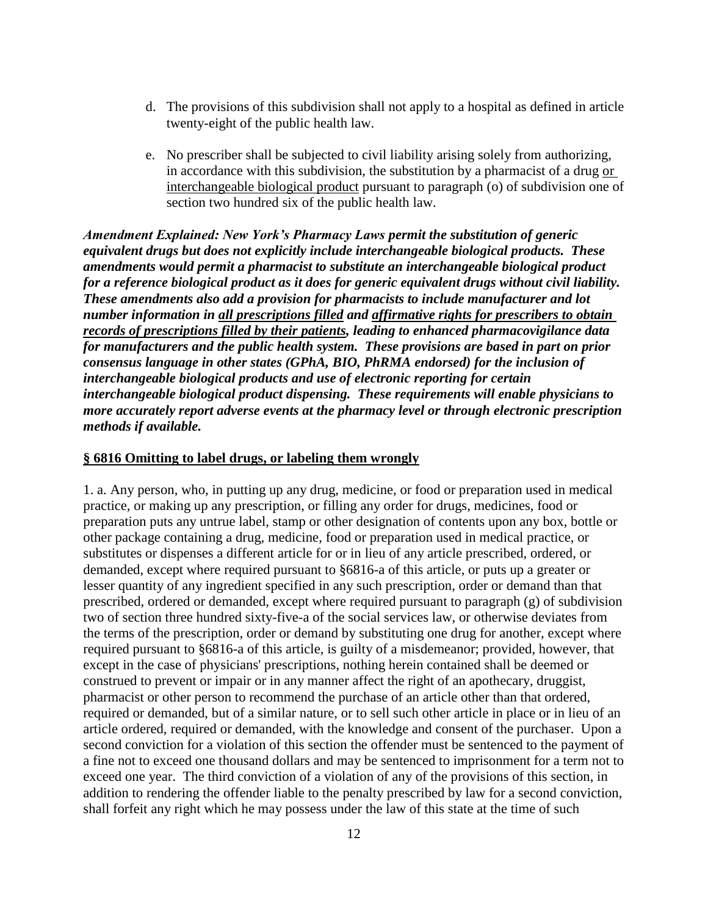- d. The provisions of this subdivision shall not apply to a hospital as defined in article twenty-eight of the public health law.
- e. No prescriber shall be subjected to civil liability arising solely from authorizing, in accordance with this subdivision, the substitution by a pharmacist of a drug or interchangeable biological product pursuant to paragraph (o) of subdivision one of section two hundred six of the public health law.

*Amendment Explained: New York's Pharmacy Laws permit the substitution of generic equivalent drugs but does not explicitly include interchangeable biological products. These amendments would permit a pharmacist to substitute an interchangeable biological product for a reference biological product as it does for generic equivalent drugs without civil liability. These amendments also add a provision for pharmacists to include manufacturer and lot number information in all prescriptions filled and affirmative rights for prescribers to obtain records of prescriptions filled by their patients, leading to enhanced pharmacovigilance data for manufacturers and the public health system. These provisions are based in part on prior consensus language in other states (GPhA, BIO, PhRMA endorsed) for the inclusion of interchangeable biological products and use of electronic reporting for certain interchangeable biological product dispensing. These requirements will enable physicians to more accurately report adverse events at the pharmacy level or through electronic prescription methods if available.*

#### **§ 6816 Omitting to label drugs, or labeling them wrongly**

1. a. Any person, who, in putting up any drug, medicine, or food or preparation used in medical practice, or making up any prescription, or filling any order for drugs, medicines, food or preparation puts any untrue label, stamp or other designation of contents upon any box, bottle or other package containing a drug, medicine, food or preparation used in medical practice, or substitutes or dispenses a different article for or in lieu of any article prescribed, ordered, or demanded, except where required pursuant to §6816-a of this article, or puts up a greater or lesser quantity of any ingredient specified in any such prescription, order or demand than that prescribed, ordered or demanded, except where required pursuant to paragraph (g) of subdivision two of section three hundred sixty-five-a of the social services law, or otherwise deviates from the terms of the prescription, order or demand by substituting one drug for another, except where required pursuant to §6816-a of this article, is guilty of a misdemeanor; provided, however, that except in the case of physicians' prescriptions, nothing herein contained shall be deemed or construed to prevent or impair or in any manner affect the right of an apothecary, druggist, pharmacist or other person to recommend the purchase of an article other than that ordered, required or demanded, but of a similar nature, or to sell such other article in place or in lieu of an article ordered, required or demanded, with the knowledge and consent of the purchaser. Upon a second conviction for a violation of this section the offender must be sentenced to the payment of a fine not to exceed one thousand dollars and may be sentenced to imprisonment for a term not to exceed one year. The third conviction of a violation of any of the provisions of this section, in addition to rendering the offender liable to the penalty prescribed by law for a second conviction, shall forfeit any right which he may possess under the law of this state at the time of such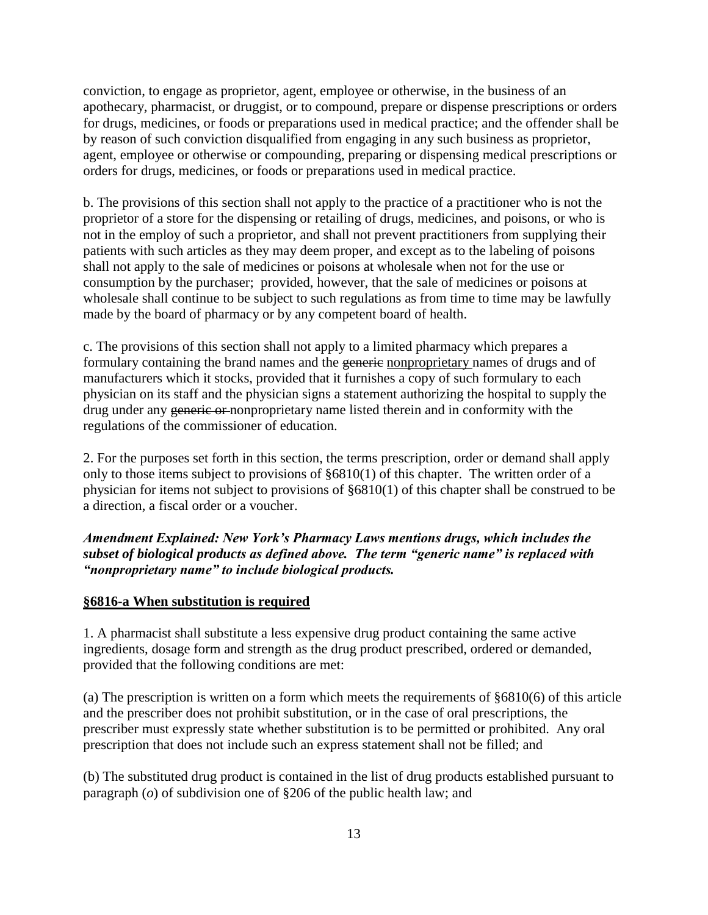conviction, to engage as proprietor, agent, employee or otherwise, in the business of an apothecary, pharmacist, or druggist, or to compound, prepare or dispense prescriptions or orders for drugs, medicines, or foods or preparations used in medical practice; and the offender shall be by reason of such conviction disqualified from engaging in any such business as proprietor, agent, employee or otherwise or compounding, preparing or dispensing medical prescriptions or orders for drugs, medicines, or foods or preparations used in medical practice.

b. The provisions of this section shall not apply to the practice of a practitioner who is not the proprietor of a store for the dispensing or retailing of drugs, medicines, and poisons, or who is not in the employ of such a proprietor, and shall not prevent practitioners from supplying their patients with such articles as they may deem proper, and except as to the labeling of poisons shall not apply to the sale of medicines or poisons at wholesale when not for the use or consumption by the purchaser; provided, however, that the sale of medicines or poisons at wholesale shall continue to be subject to such regulations as from time to time may be lawfully made by the board of pharmacy or by any competent board of health.

c. The provisions of this section shall not apply to a limited pharmacy which prepares a formulary containing the brand names and the generic nonproprietary names of drugs and of manufacturers which it stocks, provided that it furnishes a copy of such formulary to each physician on its staff and the physician signs a statement authorizing the hospital to supply the drug under any generic or nonproprietary name listed therein and in conformity with the regulations of the commissioner of education.

2. For the purposes set forth in this section, the terms prescription, order or demand shall apply only to those items subject to provisions of §6810(1) of this chapter. The written order of a physician for items not subject to provisions of §6810(1) of this chapter shall be construed to be a direction, a fiscal order or a voucher.

## *Amendment Explained: New York's Pharmacy Laws mentions drugs, which includes the subset of biological products as defined above. The term "generic name" is replaced with "nonproprietary name" to include biological products.*

## **§6816-a When substitution is required**

1. A pharmacist shall substitute a less expensive drug product containing the same active ingredients, dosage form and strength as the drug product prescribed, ordered or demanded, provided that the following conditions are met:

(a) The prescription is written on a form which meets the requirements of §6810(6) of this article and the prescriber does not prohibit substitution, or in the case of oral prescriptions, the prescriber must expressly state whether substitution is to be permitted or prohibited. Any oral prescription that does not include such an express statement shall not be filled; and

(b) The substituted drug product is contained in the list of drug products established pursuant to paragraph (*o*) of subdivision one of §206 of the public health law; and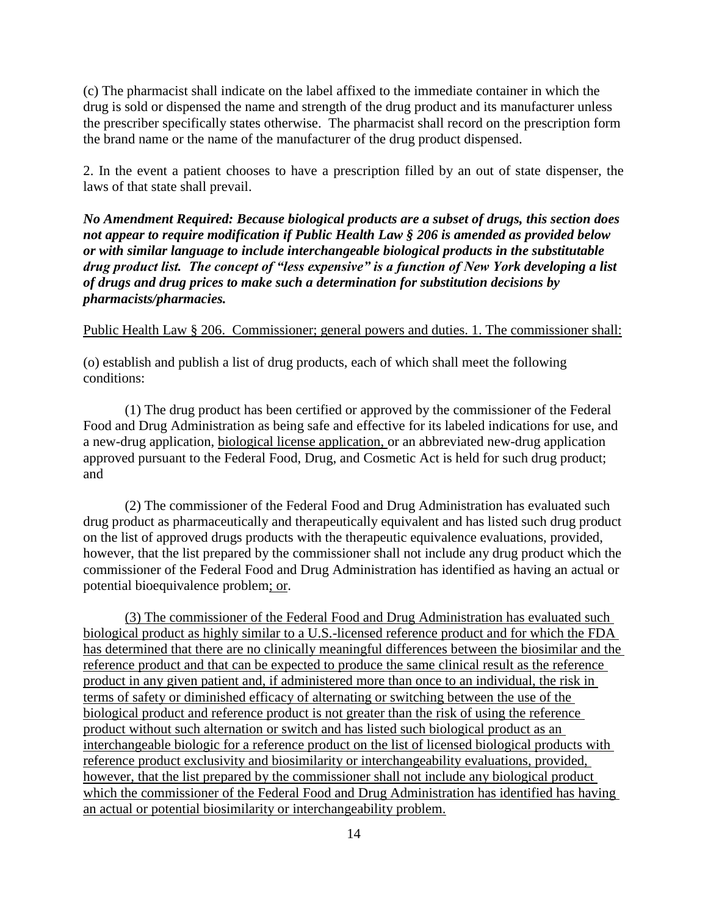(c) The pharmacist shall indicate on the label affixed to the immediate container in which the drug is sold or dispensed the name and strength of the drug product and its manufacturer unless the prescriber specifically states otherwise. The pharmacist shall record on the prescription form the brand name or the name of the manufacturer of the drug product dispensed.

2. In the event a patient chooses to have a prescription filled by an out of state dispenser, the laws of that state shall prevail.

*No Amendment Required: Because biological products are a subset of drugs, this section does not appear to require modification if Public Health Law § 206 is amended as provided below or with similar language to include interchangeable biological products in the substitutable drug product list. The concept of "less expensive" is a function of New York developing a list of drugs and drug prices to make such a determination for substitution decisions by pharmacists/pharmacies.*

### Public Health Law § 206. Commissioner; general powers and duties. 1. The commissioner shall:

(o) establish and publish a list of drug products, each of which shall meet the following conditions:

(1) The drug product has been certified or approved by the commissioner of the Federal Food and Drug Administration as being safe and effective for its labeled indications for use, and a new-drug application, biological license application, or an abbreviated new-drug application approved pursuant to the Federal Food, Drug, and Cosmetic Act is held for such drug product; and

(2) The commissioner of the Federal Food and Drug Administration has evaluated such drug product as pharmaceutically and therapeutically equivalent and has listed such drug product on the list of approved drugs products with the therapeutic equivalence evaluations, provided, however, that the list prepared by the commissioner shall not include any drug product which the commissioner of the Federal Food and Drug Administration has identified as having an actual or potential bioequivalence problem; or.

(3) The commissioner of the Federal Food and Drug Administration has evaluated such biological product as highly similar to a U.S.-licensed reference product and for which the FDA has determined that there are no clinically meaningful differences between the biosimilar and the reference product and that can be expected to produce the same clinical result as the reference product in any given patient and, if administered more than once to an individual, the risk in terms of safety or diminished efficacy of alternating or switching between the use of the biological product and reference product is not greater than the risk of using the reference product without such alternation or switch and has listed such biological product as an interchangeable biologic for a reference product on the list of licensed biological products with reference product exclusivity and biosimilarity or interchangeability evaluations, provided, however, that the list prepared by the commissioner shall not include any biological product which the commissioner of the Federal Food and Drug Administration has identified has having an actual or potential biosimilarity or interchangeability problem.